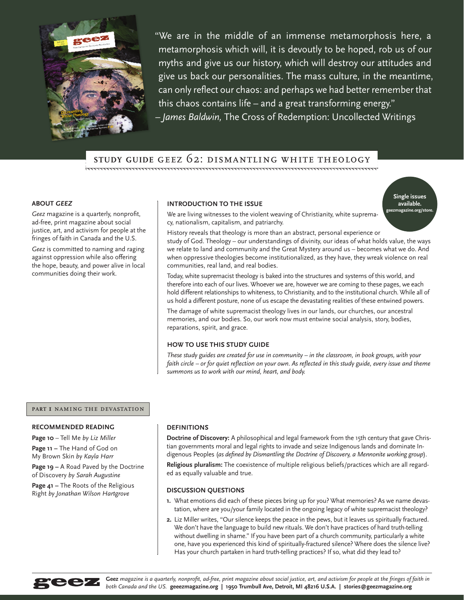

"We are in the middle of an immense metamorphosis here, a metamorphosis which will, it is devoutly to be hoped, rob us of our myths and give us our history, which will destroy our attitudes and give us back our personalities. The mass culture, in the meantime, can only reflect our chaos: and perhaps we had better remember that this chaos contains life – and a great transforming energy." *– James Baldwin,* The Cross of Redemption: Uncollected Writings

# **study guide** geez 62: dismantling white theology

## **ABOUT** *GEEZ*

*Geez* magazine is a quarterly, nonprofit, ad-free, print magazine about social justice, art, and activism for people at the fringes of faith in Canada and the U.S.

*Geez* is committed to naming and raging against oppression while also offering the hope, beauty, and power alive in local communities doing their work.

# **INTRODUCTION TO THE ISSUE**

**Single issues available. geezmagazine.org/store.** 

We are living witnesses to the violent weaving of Christianity, white supremacy, nationalism, capitalism, and patriarchy.

History reveals that theology is more than an abstract, personal experience or study of God. Theology – our understandings of divinity, our ideas of what holds value, the ways we relate to land and community and the Great Mystery around us – becomes what we do. And when oppressive theologies become institutionalized, as they have, they wreak violence on real communities, real land, and real bodies.

Today, white supremacist theology is baked into the structures and systems of this world, and therefore into each of our lives. Whoever we are, however we are coming to these pages, we each hold different relationships to whiteness, to Christianity, and to the institutional church. While all of us hold a different posture, none of us escape the devastating realities of these entwined powers.

The damage of white supremacist theology lives in our lands, our churches, our ancestral memories, and our bodies. So, our work now must entwine social analysis, story, bodies, reparations, spirit, and grace.

# **HOW TO USE THIS STUDY GUIDE**

*These study guides are created for use in community – in the classroom, in book groups, with your faith circle – or for quiet reflection on your own. As reflected in this study guide, every issue and theme summons us to work with our mind, heart, and body.* 

# **part 1** naming the devastation

## **RECOMMENDED READING**

**Page 10** – Tell Me *by Liz Miller* 

**Page 11 –** The Hand of God on My Brown Skin *by Kayla Harr*

**Page 19 –** A Road Paved by the Doctrine of Discovery *by Sarah Augustine*

**Page 41 –** The Roots of the Religious Right *by Jonathan Wilson Hartgrove*

#### **DEFINITIONS**

**Doctrine of Discovery:** A philosophical and legal framework from the 15th century that gave Christian governments moral and legal rights to invade and seize Indigenous lands and dominate Indigenous Peoples (*as defined by Dismantling the Doctrine of Discovery, a Mennonite working group*). **Religious pluralism:** The coexistence of multiple religious beliefs/practices which are all regarded as equally valuable and true.

# **DISCUSSION QUESTIONS**

- **1.** What emotions did each of these pieces bring up for you? What memories? As we name devastation, where are you/your family located in the ongoing legacy of white supremacist theology?
- **2.** Liz Miller writes, "Our silence keeps the peace in the pews, but it leaves us spiritually fractured. We don't have the language to build new rituals. We don't have practices of hard truth-telling without dwelling in shame." If you have been part of a church community, particularly a white one, have you experienced this kind of spiritually-fractured silence? Where does the silence live? Has your church partaken in hard truth-telling practices? If so, what did they lead to?



**Geez** *magazine is a quarterly, nonprofit, ad-free, print magazine about social justice, art, and activism for people at the fringes of faith in both Canada and the US.* **geeezmagazine.org | 1950 Trumbull Ave, Detroit, MI 48216 U.S.A. | stories@geezmagazine.org**